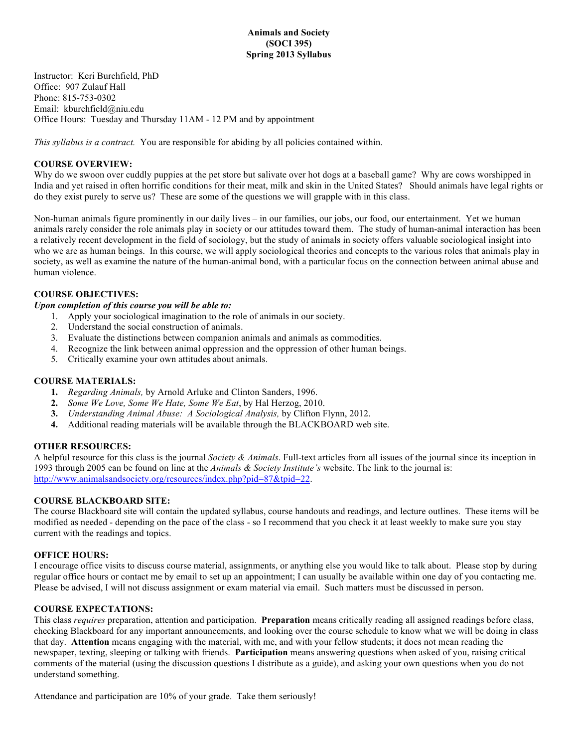Instructor: Keri Burchfield, PhD Office: 907 Zulauf Hall Phone: 815-753-0302 Email: kburchfield@niu.edu Office Hours: Tuesday and Thursday 11AM - 12 PM and by appointment

*This syllabus is a contract.* You are responsible for abiding by all policies contained within.

# **COURSE OVERVIEW:**

Why do we swoon over cuddly puppies at the pet store but salivate over hot dogs at a baseball game? Why are cows worshipped in India and yet raised in often horrific conditions for their meat, milk and skin in the United States? Should animals have legal rights or do they exist purely to serve us? These are some of the questions we will grapple with in this class.

Non-human animals figure prominently in our daily lives – in our families, our jobs, our food, our entertainment. Yet we human animals rarely consider the role animals play in society or our attitudes toward them. The study of human-animal interaction has been a relatively recent development in the field of sociology, but the study of animals in society offers valuable sociological insight into who we are as human beings. In this course, we will apply sociological theories and concepts to the various roles that animals play in society, as well as examine the nature of the human-animal bond, with a particular focus on the connection between animal abuse and human violence.

# **COURSE OBJECTIVES:**

### *Upon completion of this course you will be able to:*

- 1. Apply your sociological imagination to the role of animals in our society.
- 2. Understand the social construction of animals.
- 3. Evaluate the distinctions between companion animals and animals as commodities.
- 4. Recognize the link between animal oppression and the oppression of other human beings.
- 5. Critically examine your own attitudes about animals.

# **COURSE MATERIALS:**

- **1.** *Regarding Animals,* by Arnold Arluke and Clinton Sanders, 1996.
- **2.** *Some We Love, Some We Hate, Some We Eat*, by Hal Herzog, 2010.
- **3.** *Understanding Animal Abuse: A Sociological Analysis,* by Clifton Flynn, 2012.
- **4.** Additional reading materials will be available through the BLACKBOARD web site.

# **OTHER RESOURCES:**

A helpful resource for this class is the journal *Society & Animals*. Full-text articles from all issues of the journal since its inception in 1993 through 2005 can be found on line at the *Animals & Society Institute's* website. The link to the journal is: http://www.animalsandsociety.org/resources/index.php?pid=87&tpid=22.

# **COURSE BLACKBOARD SITE:**

The course Blackboard site will contain the updated syllabus, course handouts and readings, and lecture outlines. These items will be modified as needed - depending on the pace of the class - so I recommend that you check it at least weekly to make sure you stay current with the readings and topics.

### **OFFICE HOURS:**

I encourage office visits to discuss course material, assignments, or anything else you would like to talk about. Please stop by during regular office hours or contact me by email to set up an appointment; I can usually be available within one day of you contacting me. Please be advised, I will not discuss assignment or exam material via email. Such matters must be discussed in person.

# **COURSE EXPECTATIONS:**

This class *requires* preparation, attention and participation. **Preparation** means critically reading all assigned readings before class, checking Blackboard for any important announcements, and looking over the course schedule to know what we will be doing in class that day. **Attention** means engaging with the material, with me, and with your fellow students; it does not mean reading the newspaper, texting, sleeping or talking with friends. **Participation** means answering questions when asked of you, raising critical comments of the material (using the discussion questions I distribute as a guide), and asking your own questions when you do not understand something.

Attendance and participation are 10% of your grade. Take them seriously!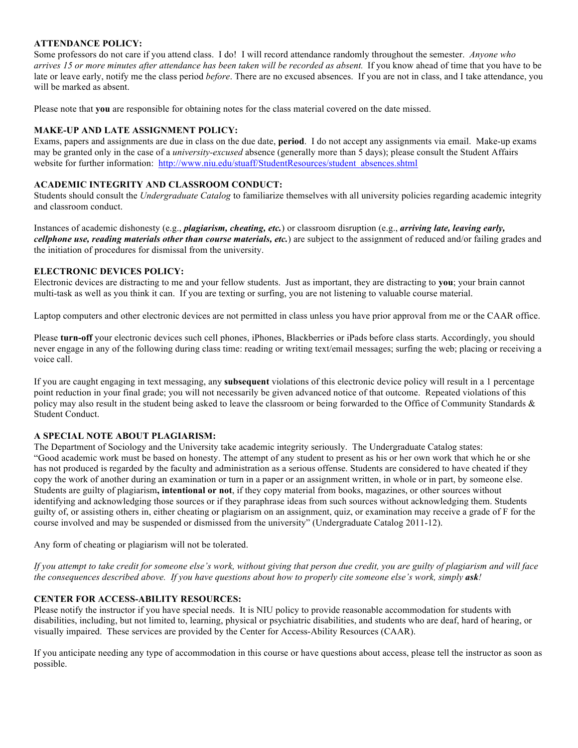# **ATTENDANCE POLICY:**

Some professors do not care if you attend class. I do! I will record attendance randomly throughout the semester. *Anyone who arrives 15 or more minutes after attendance has been taken will be recorded as absent.* If you know ahead of time that you have to be late or leave early, notify me the class period *before*. There are no excused absences. If you are not in class, and I take attendance, you will be marked as absent. 

Please note that **you** are responsible for obtaining notes for the class material covered on the date missed.

# **MAKE-UP AND LATE ASSIGNMENT POLICY:**

Exams, papers and assignments are due in class on the due date, **period**. I do not accept any assignments via email. Make-up exams may be granted only in the case of a *university-excused* absence (generally more than 5 days); please consult the Student Affairs website for further information: http://www.niu.edu/stuaff/StudentResources/student\_absences.shtml

# **ACADEMIC INTEGRITY AND CLASSROOM CONDUCT:**

Students should consult the *Undergraduate Catalog* to familiarize themselves with all university policies regarding academic integrity and classroom conduct.

Instances of academic dishonesty (e.g., *plagiarism, cheating, etc.*) or classroom disruption (e.g., *arriving late, leaving early, cellphone use, reading materials other than course materials, etc.*) are subject to the assignment of reduced and/or failing grades and the initiation of procedures for dismissal from the university.

# **ELECTRONIC DEVICES POLICY:**

Electronic devices are distracting to me and your fellow students. Just as important, they are distracting to **you**; your brain cannot multi-task as well as you think it can. If you are texting or surfing, you are not listening to valuable course material.

Laptop computers and other electronic devices are not permitted in class unless you have prior approval from me or the CAAR office.

Please **turn-off** your electronic devices such cell phones, iPhones, Blackberries or iPads before class starts. Accordingly, you should never engage in any of the following during class time: reading or writing text/email messages; surfing the web; placing or receiving a voice call.

If you are caught engaging in text messaging, any **subsequent** violations of this electronic device policy will result in a 1 percentage point reduction in your final grade; you will not necessarily be given advanced notice of that outcome. Repeated violations of this policy may also result in the student being asked to leave the classroom or being forwarded to the Office of Community Standards & Student Conduct.

# **A SPECIAL NOTE ABOUT PLAGIARISM:**

The Department of Sociology and the University take academic integrity seriously. The Undergraduate Catalog states: "Good academic work must be based on honesty. The attempt of any student to present as his or her own work that which he or she has not produced is regarded by the faculty and administration as a serious offense. Students are considered to have cheated if they copy the work of another during an examination or turn in a paper or an assignment written, in whole or in part, by someone else. Students are guilty of plagiarism**, intentional or not**, if they copy material from books, magazines, or other sources without identifying and acknowledging those sources or if they paraphrase ideas from such sources without acknowledging them. Students guilty of, or assisting others in, either cheating or plagiarism on an assignment, quiz, or examination may receive a grade of F for the course involved and may be suspended or dismissed from the university" (Undergraduate Catalog 2011-12).

Any form of cheating or plagiarism will not be tolerated.

*If you attempt to take credit for someone else's work, without giving that person due credit, you are guilty of plagiarism and will face the consequences described above. If you have questions about how to properly cite someone else's work, simply ask!* 

# **CENTER FOR ACCESS-ABILITY RESOURCES:**

Please notify the instructor if you have special needs. It is NIU policy to provide reasonable accommodation for students with disabilities, including, but not limited to, learning, physical or psychiatric disabilities, and students who are deaf, hard of hearing, or visually impaired. These services are provided by the Center for Access-Ability Resources (CAAR).

If you anticipate needing any type of accommodation in this course or have questions about access, please tell the instructor as soon as possible.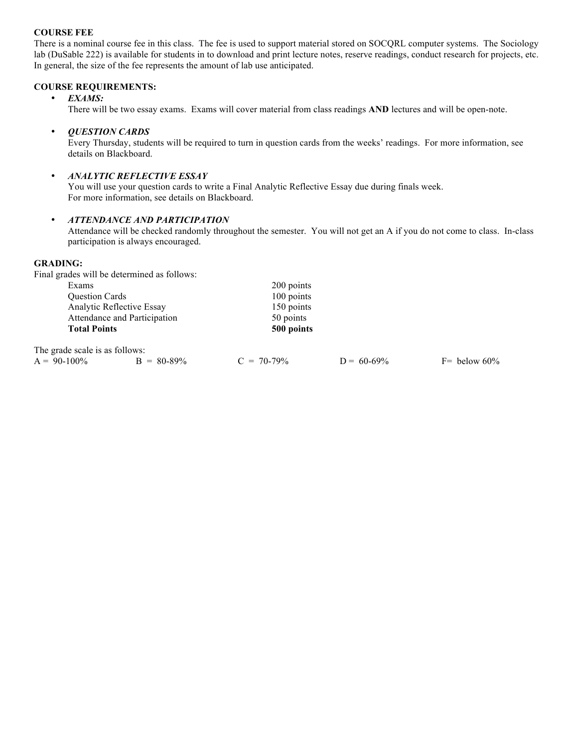# **COURSE FEE**

There is a nominal course fee in this class. The fee is used to support material stored on SOCQRL computer systems. The Sociology lab (DuSable 222) is available for students in to download and print lecture notes, reserve readings, conduct research for projects, etc. In general, the size of the fee represents the amount of lab use anticipated.

## **COURSE REQUIREMENTS:**

### • *EXAMS:*

There will be two essay exams. Exams will cover material from class readings **AND** lectures and will be open-note.

#### • *QUESTION CARDS*

Every Thursday, students will be required to turn in question cards from the weeks' readings. For more information, see details on Blackboard.

# • *ANALYTIC REFLECTIVE ESSAY*

You will use your question cards to write a Final Analytic Reflective Essay due during finals week. For more information, see details on Blackboard.

# • *ATTENDANCE AND PARTICIPATION*

Attendance will be checked randomly throughout the semester. You will not get an A if you do not come to class. In-class participation is always encouraged.

#### **GRADING:**

Final grades will be determined as follows:

| Exams                          |               | 200 points    |               |                 |  |  |
|--------------------------------|---------------|---------------|---------------|-----------------|--|--|
| Question Cards                 |               | 100 points    |               |                 |  |  |
| Analytic Reflective Essay      |               | 150 points    |               |                 |  |  |
| Attendance and Participation   |               | 50 points     |               |                 |  |  |
| <b>Total Points</b>            |               | 500 points    |               |                 |  |  |
| The grade scale is as follows: |               |               |               |                 |  |  |
| $A = 90-100\%$                 | $B = 80-89\%$ | $C = 70-79\%$ | $D = 60-69\%$ | $F =$ below 60% |  |  |